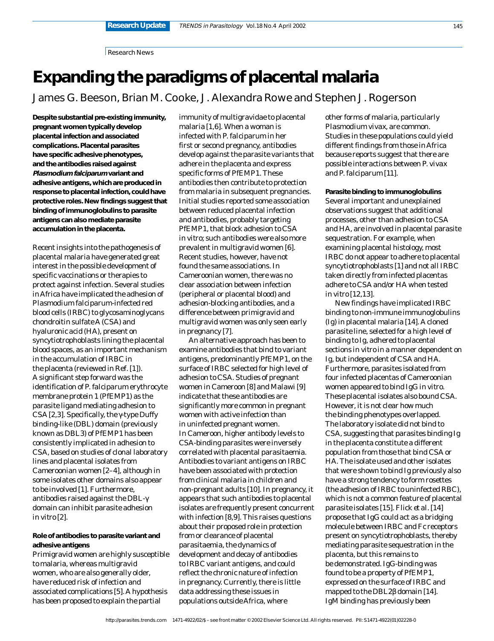Research News

# **Expanding the paradigms of placental malaria**

James G. Beeson, Brian M. Cooke, J. Alexandra Rowe and Stephen J. Rogerson

**Despite substantial pre-existing immunity, pregnant women typically develop placental infection and associated complications. Placental parasites have specific adhesive phenotypes, and the antibodies raised against Plasmodium falciparum variant and adhesive antigens, which are produced in response to placental infection, could have protective roles. New findings suggest that binding of immunoglobulins to parasite antigens can also mediate parasite accumulation in the placenta.**

Recent insights into the pathogenesis of placental malaria have generated great interest in the possible development of specific vaccinations or therapies to protect against infection. Several studies in Africa have implicated the adhesion of *Plasmodium falciparum*-infected red blood cells (IRBC) to glycosaminoglycans chondroitin sulfate A (CSA) and hyaluronic acid (HA), present on syncytiotrophoblasts lining the placental blood spaces, as an important mechanism in the accumulation of IRBC in the placenta (reviewed in Ref. [1]). A significant step forward was the identification of *P. falciparum* erythrocyte membrane protein 1 (PfEMP1) as the parasite ligand mediating adhesion to CSA [2,3]. Specifically, the γ-type Duffy binding-like (DBL) domain (previously known as DBL3) of PfEMP1 has been consistently implicated in adhesion to CSA, based on studies of clonal laboratory lines and placental isolates from Cameroonian women [2–4], although in some isolates other domains also appear to be involved [1]. Furthermore, antibodies raised against the DBL-γ domain can inhibit parasite adhesion *in vitro* [2].

## **Role of antibodies to parasite variant and adhesive antigens**

Primigravid women are highly susceptible to malaria, whereas multigravid women, who are also generally older, have reduced risk of infection and associated complications [5]. A hypothesis has been proposed to explain the partial

immunity of multigravidae to placental malaria [1,6]. When a woman is infected with *P. falciparum* in her first or second pregnancy, antibodies develop against the parasite variants that adhere in the placenta and express specific forms of PfEMP1. These antibodies then contribute to protection from malaria in subsequent pregnancies. Initial studies reported some association between reduced placental infection and antibodies, probably targeting PfEMP1, that block adhesion to CSA *in vitro*; such antibodies were also more prevalent in multigravid women [6]. Recent studies, however, have not found the same associations. In Cameroonian women, there was no clear association between infection (peripheral or placental blood) and adhesion-blocking antibodies, and a difference between primigravid and multigravid women was only seen early in pregnancy [7].

An alternative approach has been to examine antibodies that bind to variant antigens, predominantly PfEMP1, on the surface of IRBC selected for high level of adhesion to CSA. Studies of pregnant women in Cameroon [8] and Malawi [9] indicate that these antibodies are significantly more common in pregnant women with active infection than in uninfected pregnant women. In Cameroon, higher antibody levels to CSA-binding parasites were inversely correlated with placental parasitaemia. Antibodies to variant antigens on IRBC have been associated with protection from clinical malaria in children and non-pregnant adults [10]. In pregnancy, it appears that such antibodies to placental isolates are frequently present concurrent with infection [8,9]. This raises questions about their proposed role in protection from or clearance of placental parasitaemia, the dynamics of development and decay of antibodies to IRBC variant antigens, and could reflect the chronic nature of infection in pregnancy. Currently, there is little data addressing these issues in populations outside Africa, where

other forms of malaria, particularly *Plasmodium vivax*, are common. Studies in these populations could yield different findings from those in Africa because reports suggest that there are possible interactions between *P. vivax* and *P. falciparum* [11].

**Parasite binding to immunoglobulins** Several important and unexplained observations suggest that additional processes, other than adhesion to CSA and HA, are involved in placental parasite sequestration. For example, when examining placental histology, most IRBC do not appear to adhere to placental syncytiotrophoblasts [1] and not all IRBC taken directly from infected placentas adhere to CSA and/or HA when tested *in vitro* [12,13].

New findings have implicated IRBC binding to non-immune immunoglobulins (Ig) in placental malaria [14]. A cloned parasite line, selected for a high level of binding to Ig, adhered to placental sections *in vitro* in a manner dependent on Ig, but independent of CSA and HA. Furthermore, parasites isolated from four infected placentas of Cameroonian women appeared to bind IgG *in vitro*. These placental isolates also bound CSA. However, it is not clear how much the binding phenotypes overlapped. The laboratory isolate did not bind to CSA, suggesting that parasites binding Ig in the placenta constitute a different population from those that bind CSA or HA. The isolate used and other isolates that were shown to bind Ig previously also have a strong tendency to form rosettes (the adhesion of IRBC to uninfected RBC), which is not a common feature of placental parasite isolates [15]. Flick *et al*. [14] propose that IgG could act as a bridging molecule between IRBC and Fc receptors present on syncytiotrophoblasts, thereby mediating parasite sequestration in the placenta, but this remains to be demonstrated. IgG-binding was found to be a property of PfEMP1, expressed on the surface of IRBC and mapped to the DBL2β domain [14]. IgM binding has previously been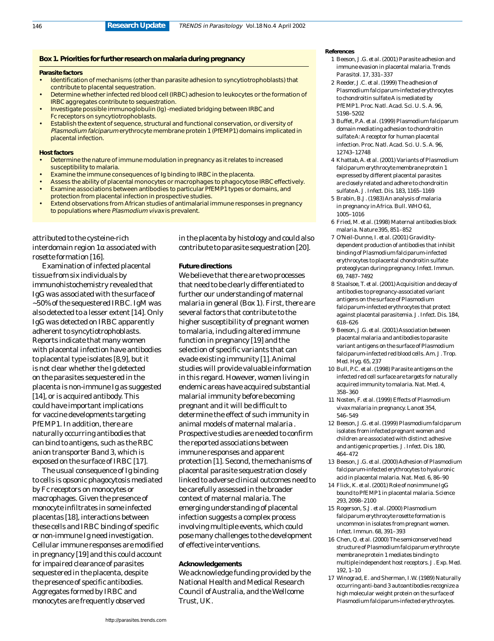### **Box 1. Priorities for further research on malaria during pregnancy**

#### **Parasite factors**

- Identification of mechanisms (other than parasite adhesion to syncytiotrophoblasts) that contribute to placental sequestration.
- Determine whether infected red blood celI (IRBC) adhesion to leukocytes or the formation of IRBC aggregates contribute to sequestration.
- Investigate possible immunoglobulin (Ig) -mediated bridging between IRBC and Fc receptors on syncytiotrophoblasts.
- Establish the extent of sequence, structural and functional conservation, or diversity of Plasmodium falciparum erythrocyte membrane protein 1 (PfEMP1) domains implicated in placental infection.

#### **Host factors**

- Determine the nature of immune modulation in pregnancy as it relates to increased susceptibility to malaria.
- Examine the immune consequences of Ig binding to IRBC in the placenta.
- Assess the ability of placental monocytes or macrophages to phagocytose IRBC effectively.
- Examine associations between antibodies to particular PfEMP1 types or domains, and protection from placental infection in prospective studies.
- Extend observations from African studies of antimalarial immune responses in pregnancy to populations where Plasmodium vivax is prevalent.

attributed to the cysteine-rich interdomain region 1α associated with rosette formation [16].

Examination of infected placental tissue from six individuals by immunohistochemistry revealed that IgG was associated with the surface of ~50% of the sequestered IRBC. IgM was also detected to a lesser extent [14]. Only IgG was detected on IRBC apparently adherent to syncytiotrophoblasts. Reports indicate that many women with placental infection have antibodies to placental type isolates [8,9], but it is not clear whether the Ig detected on the parasites sequestered in the placenta is non-immune Ig as suggested [14], or is acquired antibody. This could have important implications for vaccine developments targeting PfEMP1. In addition, there are naturally occurring antibodies that can bind to antigens, such as the RBC anion transporter Band 3, which is exposed on the surface of IRBC [17].

The usual consequence of Ig binding to cells is opsonic phagocytosis mediated by Fc receptors on monocytes or macrophages. Given the presence of monocyte infiltrates in some infected placentas [18], interactions between these cells and IRBC binding of specific or non-immune Ig need investigation. Cellular immune responses are modified in pregnancy [19] and this could account for impaired clearance of parasites sequestered in the placenta, despite the presence of specific antibodies. Aggregates formed by IRBC and monocytes are frequently observed

in the placenta by histology and could also contribute to parasite sequestration [20].

#### **Future directions**

We believe that there are two processes that need to be clearly differentiated to further our understanding of maternal malaria in general (Box 1). First, there are several factors that contribute to the higher susceptibility of pregnant women to malaria, including altered immune function in pregnancy [19] and the selection of specific variants that can evade existing immunity [1]. Animal studies will provide valuable information in this regard. However, women living in endemic areas have acquired substantial malarial immunity before becoming pregnant and it will be difficult to determine the effect of such immunity in animal models of maternal malaria . Prospective studies are needed to confirm the reported associations between immune responses and apparent protection [1]. Second, the mechanisms of placental parasite sequestration closely linked to adverse clinical outcomes need to be carefully assessed in the broader context of maternal malaria. The emerging understanding of placental infection suggests a complex process involving multiple events, which could pose many challenges to the development of effective interventions.

### **Acknowledgements**

We acknowledge funding provided by the National Health and Medical Research Council of Australia, and the Wellcome Trust, UK.

#### **References**

- 1 Beeson, J.G. *et al.* (2001) Parasite adhesion and immune evasion in placental malaria. *Trends Parasitol.* 17, 331–337
- 2 Reeder, J.C. *et al.* (1999) The adhesion of *Plasmodium falciparum*-infected erythrocytes to chondroitin sulfate A is mediated by PfEMP1. *Proc. Natl. Acad. Sci. U. S. A.* 96, 5198–5202
- 3 Buffet, P.A. *et al.* (1999) *Plasmodium falciparum* domain mediating adhesion to chondroitin sulfate A: A receptor for human placental infection. *Proc. Natl. Acad. Sci. U. S. A.* 96, 12743–12748
- 4 Khattab, A. *et al.* (2001) Variants of *Plasmodium falciparum* erythrocyte membrane protein 1 expressed by different placental parasites are closely related and adhere to chondroitin sulfate A. *J. Infect. Dis.* 183, 1165–1169
- 5 Brabin, B.J. (1983) An analysis of malaria in pregnancy in Africa. *Bull. WHO* 61, 1005–1016
- 6 Fried, M. *et al.* (1998) Maternal antibodies block malaria. *Nature* 395, 851–852
- 7 O'Neil-Dunne, I. *et al.* (2001) Graviditydependent production of antibodies that inhibit binding of *Plasmodium falciparum*-infected erythrocytes to placental chondroitin sulfate proteoglycan during pregnancy. *Infect. Immun.* 69, 7487–7492
- 8 Staalsoe, T. *et al.* (2001) Acquisition and decay of antibodies to pregnancy-associated variant antigens on the surface of *Plasmodium falciparum*-infected erythrocytes that protect against placental parasitemia. *J. Infect. Dis.* 184, 618–626
- 9 Beeson, J.G. *et al.* (2001) Association between placental malaria and antibodies to parasite variant antigens on the surface of *Plasmodium falciparum*-infected red blood cells. *Am. J. Trop. Med. Hyg.* 65, 237
- 10 Bull, P.C. *et al.* (1998) Parasite antigens on the infected red cell surface are targets for naturally acquired immunity to malaria. *Nat. Med.* 4, 358–360
- 11 Nosten, F. *et al.* (1999) Effects of *Plasmodium vivax* malaria in pregnancy. *Lancet* 354, 546–549
- 12 Beeson, J.G. *et al.* (1999) *Plasmodium falciparum* isolates from infected pregnant women and children are associated with distinct adhesive and antigenic properties. *J. Infect. Dis.* 180, 464–472
- 13 Beeson, J.G. *et al.* (2000) Adhesion of *Plasmodium falciparum*-infected erythrocytes to hyaluronic acid in placental malaria. *Nat. Med.* 6, 86–90
- 14 Flick, K. *et al.* (2001) Role of nonimmune IgG bound to PfEMP1 in placental malaria. *Science* 293, 2098–2100
- 15 Rogerson, S.J. *et al.* (2000) *Plasmodium falciparum* erythrocyte rosette formation is uncommon in isolates from pregnant women. *Infect. Immun.* 68, 391–393
- 16 Chen, Q. *et al.* (2000) The semiconserved head structure of *Plasmodium falciparum* erythrocyte membrane protein 1 mediates binding to multiple independent host receptors. *J. Exp. Med.* 192, 1–10
- 17 Winograd, E. and Sherman, I.W. (1989) Naturally occurring anti-band 3 autoantibodies recognize a high molecular weight protein on the surface of *Plasmodium falciparum*-infected erythrocytes.